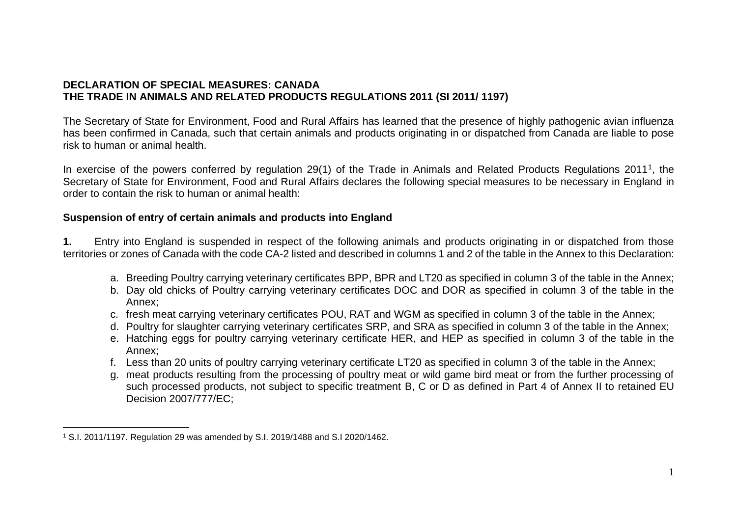## **DECLARATION OF SPECIAL MEASURES: CANADA THE TRADE IN ANIMALS AND RELATED PRODUCTS REGULATIONS 2011 (SI 2011/ 1197)**

The Secretary of State for Environment, Food and Rural Affairs has learned that the presence of highly pathogenic avian influenza has been confirmed in Canada, such that certain animals and products originating in or dispatched from Canada are liable to pose risk to human or animal health.

In exercise of the powers conferred by regulation 29(1) of the Trade in Animals and Related Products Regulations 2011<sup>1</sup>, the Secretary of State for Environment, Food and Rural Affairs declares the following special measures to be necessary in England in order to contain the risk to human or animal health:

## **Suspension of entry of certain animals and products into England**

**1.** Entry into England is suspended in respect of the following animals and products originating in or dispatched from those territories or zones of Canada with the code CA-2 listed and described in columns 1 and 2 of the table in the Annex to this Declaration:

- a. Breeding Poultry carrying veterinary certificates BPP, BPR and LT20 as specified in column 3 of the table in the Annex;
- b. Day old chicks of Poultry carrying veterinary certificates DOC and DOR as specified in column 3 of the table in the Annex;
- c. fresh meat carrying veterinary certificates POU, RAT and WGM as specified in column 3 of the table in the Annex;
- d. Poultry for slaughter carrying veterinary certificates SRP, and SRA as specified in column 3 of the table in the Annex;
- e. Hatching eggs for poultry carrying veterinary certificate HER, and HEP as specified in column 3 of the table in the Annex;
- f. Less than 20 units of poultry carrying veterinary certificate LT20 as specified in column 3 of the table in the Annex;
- g. meat products resulting from the processing of poultry meat or wild game bird meat or from the further processing of such processed products, not subject to specific treatment B, C or D as defined in Part 4 of Annex II to retained EU Decision 2007/777/EC;

<sup>1</sup> S.I. 2011/1197. Regulation 29 was amended by S.I. 2019/1488 and S.I 2020/1462.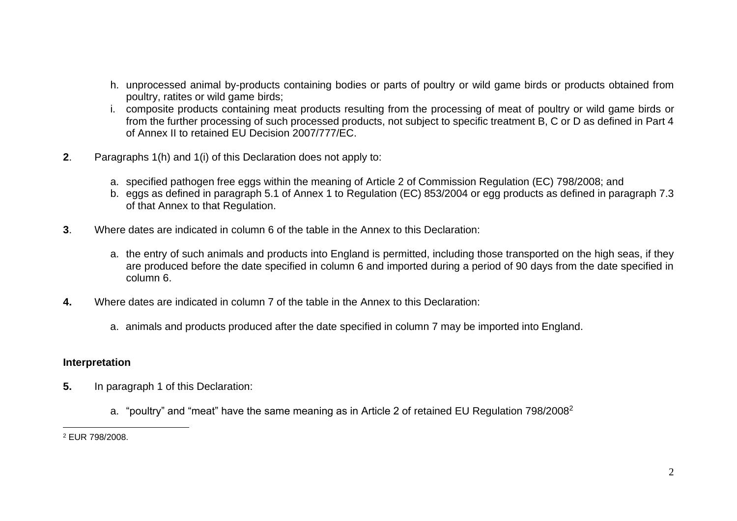- h. unprocessed animal by-products containing bodies or parts of poultry or wild game birds or products obtained from poultry, ratites or wild game birds;
- i. composite products containing meat products resulting from the processing of meat of poultry or wild game birds or from the further processing of such processed products, not subject to specific treatment B, C or D as defined in Part 4 of Annex II to retained EU Decision 2007/777/EC.
- **2**. Paragraphs 1(h) and 1(i) of this Declaration does not apply to:
	- a. specified pathogen free eggs within the meaning of Article 2 of Commission Regulation (EC) 798/2008; and
	- b. eggs as defined in paragraph 5.1 of Annex 1 to Regulation (EC) 853/2004 or egg products as defined in paragraph 7.3 of that Annex to that Regulation.
- **3**. Where dates are indicated in column 6 of the table in the Annex to this Declaration:
	- a. the entry of such animals and products into England is permitted, including those transported on the high seas, if they are produced before the date specified in column 6 and imported during a period of 90 days from the date specified in column 6.
- **4.** Where dates are indicated in column 7 of the table in the Annex to this Declaration:
	- a. animals and products produced after the date specified in column 7 may be imported into England.

## **Interpretation**

- **5.** In paragraph 1 of this Declaration:
	- a. "poultry" and "meat" have the same meaning as in Article 2 of retained EU Regulation 798/2008<sup>2</sup>

<sup>2</sup> EUR 798/2008.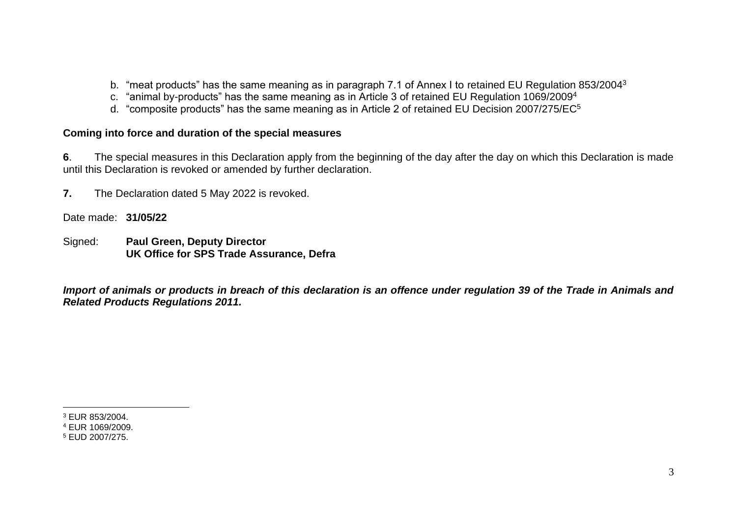- b. "meat products" has the same meaning as in paragraph 7.1 of Annex I to retained EU Regulation 853/2004<sup>3</sup>
- c. "animal by-products" has the same meaning as in Article 3 of retained EU Regulation 1069/2009<sup>4</sup>
- d. "composite products" has the same meaning as in Article 2 of retained EU Decision 2007/275/EC<sup>5</sup>

## **Coming into force and duration of the special measures**

**6**. The special measures in this Declaration apply from the beginning of the day after the day on which this Declaration is made until this Declaration is revoked or amended by further declaration.

**7.** The Declaration dated 5 May 2022 is revoked.

Date made: **31/05/22**

Signed: **Paul Green, Deputy Director UK Office for SPS Trade Assurance, Defra**

*Import of animals or products in breach of this declaration is an offence under regulation 39 of the Trade in Animals and Related Products Regulations 2011.* 

<sup>3</sup> EUR 853/2004.

<sup>4</sup> EUR 1069/2009.

<sup>5</sup> EUD 2007/275.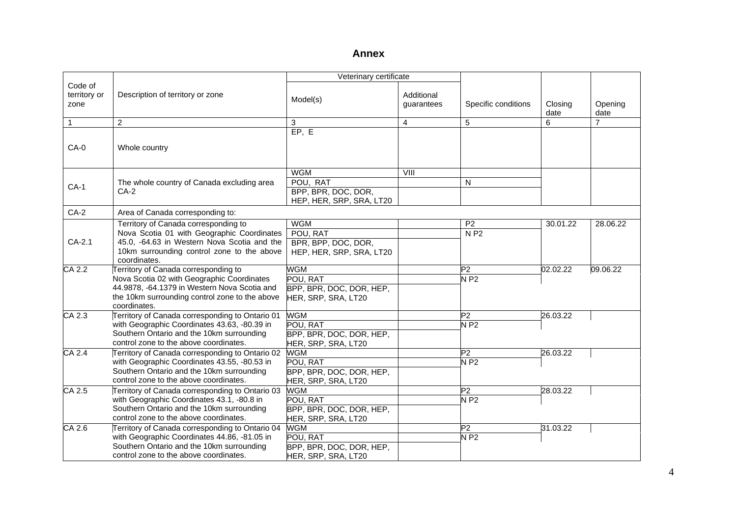|                                 |                                                                                                                                                                                                      | Veterinary certificate                                                    |                          |                                                     |                 |                 |
|---------------------------------|------------------------------------------------------------------------------------------------------------------------------------------------------------------------------------------------------|---------------------------------------------------------------------------|--------------------------|-----------------------------------------------------|-----------------|-----------------|
| Code of<br>territory or<br>zone | Description of territory or zone                                                                                                                                                                     | Model(s)                                                                  | Additional<br>quarantees | Specific conditions                                 | Closing<br>date | Opening<br>date |
| $\mathbf{1}$                    | 2                                                                                                                                                                                                    | 3                                                                         | $\overline{4}$           | 5                                                   | 6               | 7               |
| $CA-0$                          | Whole country                                                                                                                                                                                        | EP, E                                                                     |                          |                                                     |                 |                 |
| $CA-1$                          | The whole country of Canada excluding area<br>$CA-2$                                                                                                                                                 | <b>WGM</b><br>POU, RAT<br>BPP, BPR, DOC, DOR,<br>HEP, HER, SRP, SRA, LT20 | VIII                     | N                                                   |                 |                 |
| $CA-2$                          | Area of Canada corresponding to:                                                                                                                                                                     |                                                                           |                          |                                                     |                 |                 |
| CA-2.1                          | Territory of Canada corresponding to<br>Nova Scotia 01 with Geographic Coordinates<br>45.0, -64.63 in Western Nova Scotia and the<br>10km surrounding control zone to the above<br>coordinates.      | <b>WGM</b><br>POU, RAT<br>BPR, BPP, DOC, DOR,<br>HEP, HER, SRP, SRA, LT20 |                          | P <sub>2</sub><br>N P2                              | 30.01.22        | 28.06.22        |
| CA 2.2                          | Territory of Canada corresponding to<br>Nova Scotia 02 with Geographic Coordinates<br>44.9878, -64.1379 in Western Nova Scotia and<br>the 10km surrounding control zone to the above<br>coordinates. | <b>WGM</b><br>POU, RAT<br>BPP, BPR, DOC, DOR, HEP,<br>HER, SRP, SRA, LT20 |                          | P2<br>$N$ P2                                        | 02.02.22        | 09.06.22        |
| $CA$ 2.3                        | Territory of Canada corresponding to Ontario 01<br>with Geographic Coordinates 43.63, -80.39 in<br>Southern Ontario and the 10km surrounding<br>control zone to the above coordinates.               | <b>WGM</b><br>POU, RAT<br>BPP, BPR, DOC, DOR, HEP,<br>HER, SRP, SRA, LT20 |                          | P2<br>$\overline{\mathsf{N} \mathsf{P} \mathsf{2}}$ | 26.03.22        |                 |
| CA 2.4                          | Territory of Canada corresponding to Ontario 02<br>with Geographic Coordinates 43.55, -80.53 in<br>Southern Ontario and the 10km surrounding<br>control zone to the above coordinates.               | <b>WGM</b><br>POU, RAT<br>BPP, BPR, DOC, DOR, HEP,<br>HER, SRP, SRA, LT20 |                          | P <sub>2</sub><br><b>NP2</b>                        | 26.03.22        |                 |
| CA 2.5                          | Territory of Canada corresponding to Ontario 03<br>with Geographic Coordinates 43.1, -80.8 in<br>Southern Ontario and the 10km surrounding<br>control zone to the above coordinates.                 | <b>WGM</b><br>POU, RAT<br>BPP, BPR, DOC, DOR, HEP,<br>HER, SRP, SRA, LT20 |                          | P2<br>$N$ P2                                        | 28.03.22        |                 |
| CA 2.6                          | Territory of Canada corresponding to Ontario 04<br>with Geographic Coordinates 44.86, -81.05 in<br>Southern Ontario and the 10km surrounding<br>control zone to the above coordinates.               | <b>WGM</b><br>POU, RAT<br>BPP, BPR, DOC, DOR, HEP,<br>HER, SRP, SRA, LT20 |                          | P <sub>2</sub><br>$N$ P2                            | 31.03.22        |                 |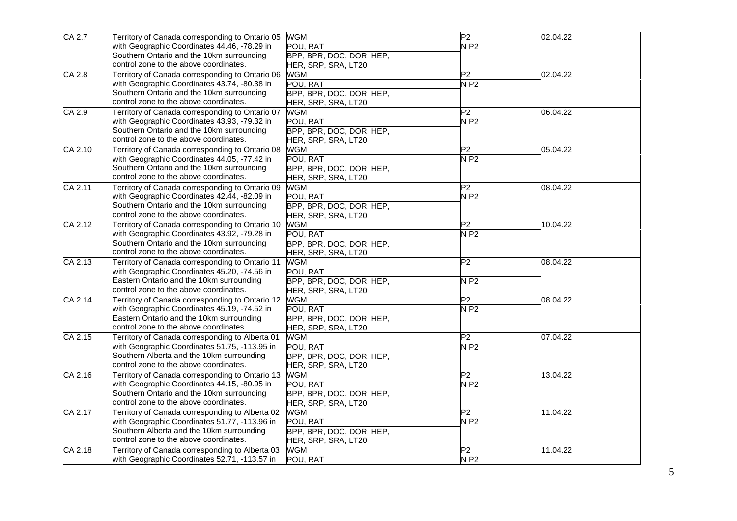| CA 2.7               | Territory of Canada corresponding to Ontario 05 | <b>WGM</b>               | P <sub>2</sub>                       | 02.04.22 |
|----------------------|-------------------------------------------------|--------------------------|--------------------------------------|----------|
|                      | with Geographic Coordinates 44.46, -78.29 in    | POU, RAT                 | N P2                                 |          |
|                      | Southern Ontario and the 10km surrounding       | BPP, BPR, DOC, DOR, HEP, |                                      |          |
|                      | control zone to the above coordinates.          | HER, SRP, SRA, LT20      |                                      |          |
| $\overline{CA\ 2.8}$ | Territory of Canada corresponding to Ontario 06 | <b>WGM</b>               | $\overline{P2}$                      | 02.04.22 |
|                      | with Geographic Coordinates 43.74, -80.38 in    | POU, RAT                 | $N$ P2                               |          |
|                      | Southern Ontario and the 10km surrounding       | BPP, BPR, DOC, DOR, HEP, |                                      |          |
|                      | control zone to the above coordinates.          | HER, SRP, SRA, LT20      |                                      |          |
| CA 2.9               | Territory of Canada corresponding to Ontario 07 | <b>WGM</b>               | P2                                   | 06.04.22 |
|                      | with Geographic Coordinates 43.93, -79.32 in    | POU, RAT                 | NP2                                  |          |
|                      | Southern Ontario and the 10km surrounding       | BPP, BPR, DOC, DOR, HEP, |                                      |          |
|                      | control zone to the above coordinates.          | HER, SRP, SRA, LT20      |                                      |          |
| CA 2.10              | Territory of Canada corresponding to Ontario 08 | <b>WGM</b>               | P <sub>2</sub>                       | 05.04.22 |
|                      | with Geographic Coordinates 44.05, -77.42 in    | POU, RAT                 | NP2                                  |          |
|                      | Southern Ontario and the 10km surrounding       | BPP, BPR, DOC, DOR, HEP, |                                      |          |
|                      | control zone to the above coordinates.          | HER, SRP, SRA, LT20      |                                      |          |
| CA 2.11              | Territory of Canada corresponding to Ontario 09 | <b>WGM</b>               | P <sub>2</sub>                       | 08.04.22 |
|                      | with Geographic Coordinates 42.44, -82.09 in    | POU, RAT                 | $N$ P2                               |          |
|                      | Southern Ontario and the 10km surrounding       | BPP, BPR, DOC, DOR, HEP, |                                      |          |
|                      | control zone to the above coordinates.          | HER, SRP, SRA, LT20      |                                      |          |
| CA 2.12              | Territory of Canada corresponding to Ontario 10 | <b>WGM</b>               | $\overline{P2}$                      | 10.04.22 |
|                      | with Geographic Coordinates 43.92, -79.28 in    | POU, RAT                 | $N$ P2                               |          |
|                      | Southern Ontario and the 10km surrounding       | BPP, BPR, DOC, DOR, HEP, |                                      |          |
|                      | control zone to the above coordinates.          | HER, SRP, SRA, LT20      |                                      |          |
| CA 2.13              | Territory of Canada corresponding to Ontario 11 | WGM                      | $\overline{P2}$                      | 08.04.22 |
|                      | with Geographic Coordinates 45.20, -74.56 in    | POU, RAT                 |                                      |          |
|                      | Eastern Ontario and the 10km surrounding        | BPP, BPR, DOC, DOR, HEP, | $\overline{\mathsf{N} \mathsf{P}}$ 2 |          |
|                      | control zone to the above coordinates.          | HER, SRP, SRA, LT20      |                                      |          |
| CA 2.14              | Territory of Canada corresponding to Ontario 12 | WGM                      | P2                                   | 08.04.22 |
|                      | with Geographic Coordinates 45.19, -74.52 in    | POU, RAT                 | $N$ P2                               |          |
|                      | Eastern Ontario and the 10km surrounding        | BPP, BPR, DOC, DOR, HEP, |                                      |          |
|                      | control zone to the above coordinates.          | HER, SRP, SRA, LT20      |                                      |          |
| CA 2.15              | Territory of Canada corresponding to Alberta 01 | <b>WGM</b>               | $\overline{P2}$                      | 07.04.22 |
|                      | with Geographic Coordinates 51.75, -113.95 in   | POU, RAT                 | NP2                                  |          |
|                      | Southern Alberta and the 10km surrounding       | BPP, BPR, DOC, DOR, HEP, |                                      |          |
|                      | control zone to the above coordinates.          | HER, SRP, SRA, LT20      |                                      |          |
| CA 2.16              | Territory of Canada corresponding to Ontario 13 | <b>WGM</b>               | $\overline{\mathsf{P}2}$             | 13.04.22 |
|                      | with Geographic Coordinates 44.15, -80.95 in    | POU, RAT                 | $N$ P <sub>2</sub>                   |          |
|                      | Southern Ontario and the 10km surrounding       | BPP, BPR, DOC, DOR, HEP, |                                      |          |
|                      | control zone to the above coordinates.          | HER, SRP, SRA, LT20      |                                      |          |
| CA 2.17              | Territory of Canada corresponding to Alberta 02 | <b>WGM</b>               | $\overline{\mathsf{P}2}$             | 11.04.22 |
|                      | with Geographic Coordinates 51.77, -113.96 in   | POU. RAT                 | $N$ P2                               |          |
|                      | Southern Alberta and the 10km surrounding       | BPP, BPR, DOC, DOR, HEP, |                                      |          |
|                      | control zone to the above coordinates.          | HER, SRP, SRA, LT20      |                                      |          |
| CA 2.18              | Territory of Canada corresponding to Alberta 03 | <b>WGM</b>               | P <sub>2</sub>                       | 11.04.22 |
|                      | with Geographic Coordinates 52.71, -113.57 in   | POU, RAT                 | $N$ P2                               |          |
|                      |                                                 |                          |                                      |          |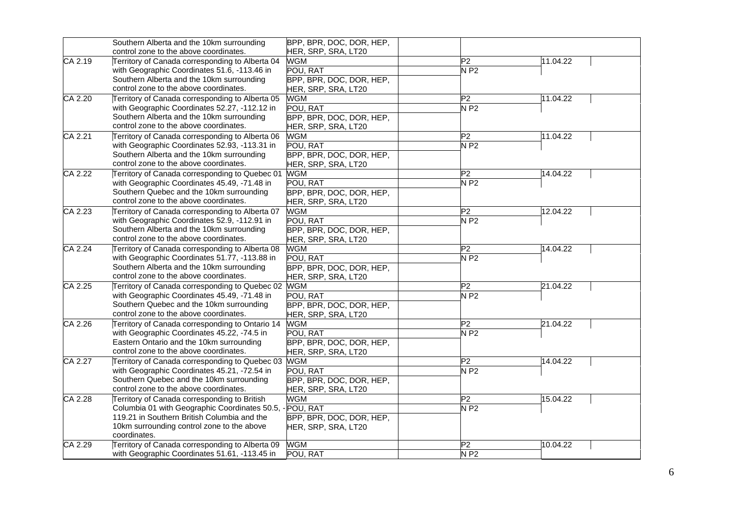|           | Southern Alberta and the 10km surrounding                                                 | BPP, BPR, DOC, DOR, HEP,   |                |          |
|-----------|-------------------------------------------------------------------------------------------|----------------------------|----------------|----------|
| CA 2.19   | control zone to the above coordinates.<br>Territory of Canada corresponding to Alberta 04 | HER, SRP, SRA, LT20<br>WGM | P <sub>2</sub> | 11.04.22 |
|           | with Geographic Coordinates 51.6, -113.46 in                                              | POU, RAT                   | $N$ P2         |          |
|           | Southern Alberta and the 10km surrounding                                                 | BPP, BPR, DOC, DOR, HEP,   |                |          |
|           | control zone to the above coordinates.                                                    | HER, SRP, SRA, LT20        |                |          |
| CA 2.20   | Territory of Canada corresponding to Alberta 05                                           | <b>WGM</b>                 | P <sub>2</sub> | 11.04.22 |
|           | with Geographic Coordinates 52.27, -112.12 in                                             | POU, RAT                   | $N$ P2         |          |
|           | Southern Alberta and the 10km surrounding                                                 | BPP, BPR, DOC, DOR, HEP,   |                |          |
|           | control zone to the above coordinates.                                                    | HER, SRP, SRA, LT20        |                |          |
| CA 2.21   | Territory of Canada corresponding to Alberta 06                                           | <b>WGM</b>                 | P2             | 11.04.22 |
|           | with Geographic Coordinates 52.93, -113.31 in                                             | POU, RAT                   | $N$ P2         |          |
|           | Southern Alberta and the 10km surrounding                                                 | BPP, BPR, DOC, DOR, HEP,   |                |          |
|           | control zone to the above coordinates.                                                    | HER, SRP, SRA, LT20        |                |          |
| CA 2.22   | Territory of Canada corresponding to Quebec 01                                            | <b>WGM</b>                 | P <sub>2</sub> | 14.04.22 |
|           | with Geographic Coordinates 45.49, -71.48 in                                              | POU, RAT                   | NP2            |          |
|           | Southern Quebec and the 10km surrounding                                                  | BPP, BPR, DOC, DOR, HEP,   |                |          |
|           | control zone to the above coordinates.                                                    | HER, SRP, SRA, LT20        |                |          |
| CA 2.23   | Territory of Canada corresponding to Alberta 07                                           | <b>WGM</b>                 | P2             | 12.04.22 |
|           | with Geographic Coordinates 52.9, -112.91 in                                              | POU, RAT                   | $N$ P2         |          |
|           | Southern Alberta and the 10km surrounding                                                 | BPP, BPR, DOC, DOR, HEP,   |                |          |
|           | control zone to the above coordinates.                                                    | HER, SRP, SRA, LT20        |                |          |
| $CA$ 2.24 | Territory of Canada corresponding to Alberta 08                                           | <b>WGM</b>                 | P2             | 14.04.22 |
|           | with Geographic Coordinates 51.77, -113.88 in                                             | POU, RAT                   | $N$ P2         |          |
|           | Southern Alberta and the 10km surrounding                                                 | BPP, BPR, DOC, DOR, HEP,   |                |          |
|           | control zone to the above coordinates.                                                    | HER, SRP, SRA, LT20        |                |          |
| CA 2.25   | Territory of Canada corresponding to Quebec 02                                            | <b>WGM</b>                 | P <sub>2</sub> | 21.04.22 |
|           | with Geographic Coordinates 45.49, -71.48 in                                              | POU, RAT                   | $N$ P2         |          |
|           | Southern Quebec and the 10km surrounding                                                  | BPP, BPR, DOC, DOR, HEP,   |                |          |
|           | control zone to the above coordinates.                                                    | HER, SRP, SRA, LT20        |                |          |
| CA 2.26   | Territory of Canada corresponding to Ontario 14                                           | <b>WGM</b>                 | P2             | 21.04.22 |
|           | with Geographic Coordinates 45.22, -74.5 in                                               | POU, RAT                   | NP2            |          |
|           | Eastern Ontario and the 10km surrounding                                                  | BPP, BPR, DOC, DOR, HEP,   |                |          |
|           | control zone to the above coordinates.                                                    | HER, SRP, SRA, LT20        |                |          |
| CA 2.27   | Territory of Canada corresponding to Quebec 03                                            | <b>WGM</b>                 | P <sub>2</sub> | 14.04.22 |
|           | with Geographic Coordinates 45.21, -72.54 in                                              | POU, RAT                   | NP2            |          |
|           | Southern Quebec and the 10km surrounding                                                  | BPP, BPR, DOC, DOR, HEP,   |                |          |
|           | control zone to the above coordinates.                                                    | HER, SRP, SRA, LT20        |                |          |
| CA 2.28   | Territory of Canada corresponding to British                                              | <b>WGM</b>                 | P <sub>2</sub> | 15.04.22 |
|           | Columbia 01 with Geographic Coordinates 50.5, - POU, RAT                                  |                            | NP2            |          |
|           | 119.21 in Southern British Columbia and the                                               | BPP, BPR, DOC, DOR, HEP,   |                |          |
|           | 10km surrounding control zone to the above<br>coordinates.                                | HER, SRP, SRA, LT20        |                |          |
| CA 2.29   | Territory of Canada corresponding to Alberta 09                                           | <b>WGM</b>                 | P <sub>2</sub> | 10.04.22 |
|           | with Geographic Coordinates 51.61, -113.45 in                                             | POU, RAT                   | $N$ P2         |          |
|           |                                                                                           |                            |                |          |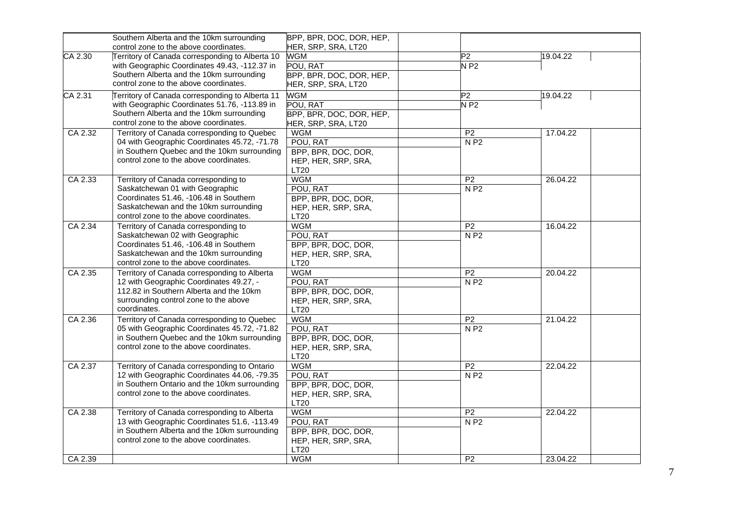|         | Southern Alberta and the 10km surrounding       | BPP, BPR, DOC, DOR, HEP, |                 |          |  |
|---------|-------------------------------------------------|--------------------------|-----------------|----------|--|
|         | control zone to the above coordinates.          | HER, SRP, SRA, LT20      |                 |          |  |
| CA 2.30 | Territory of Canada corresponding to Alberta 10 | <b>WGM</b>               | $\overline{P2}$ | 19.04.22 |  |
|         | with Geographic Coordinates 49.43, -112.37 in   | POU, RAT                 | $N$ P2          |          |  |
|         | Southern Alberta and the 10km surrounding       | BPP, BPR, DOC, DOR, HEP, |                 |          |  |
|         | control zone to the above coordinates.          | HER, SRP, SRA, LT20      |                 |          |  |
| CA 2.31 | Territory of Canada corresponding to Alberta 11 | <b>WGM</b>               | $\overline{P2}$ | 19.04.22 |  |
|         | with Geographic Coordinates 51.76, -113.89 in   | POU, RAT                 | $N$ P2          |          |  |
|         | Southern Alberta and the 10km surrounding       | BPP, BPR, DOC, DOR, HEP, |                 |          |  |
|         | control zone to the above coordinates.          | HER, SRP, SRA, LT20      |                 |          |  |
| CA 2.32 | Territory of Canada corresponding to Quebec     | <b>WGM</b>               | P <sub>2</sub>  | 17.04.22 |  |
|         | 04 with Geographic Coordinates 45.72, -71.78    | POU, RAT                 | N P2            |          |  |
|         | in Southern Quebec and the 10km surrounding     | BPP, BPR, DOC, DOR,      |                 |          |  |
|         | control zone to the above coordinates.          | HEP, HER, SRP, SRA,      |                 |          |  |
|         |                                                 | <b>LT20</b>              |                 |          |  |
| CA 2.33 | Territory of Canada corresponding to            | <b>WGM</b>               | P <sub>2</sub>  | 26.04.22 |  |
|         | Saskatchewan 01 with Geographic                 | POU, RAT                 | N P2            |          |  |
|         | Coordinates 51.46, -106.48 in Southern          | BPP, BPR, DOC, DOR,      |                 |          |  |
|         | Saskatchewan and the 10km surrounding           | HEP, HER, SRP, SRA,      |                 |          |  |
|         | control zone to the above coordinates.          | LT20                     |                 |          |  |
| CA 2.34 | Territory of Canada corresponding to            | <b>WGM</b>               | P <sub>2</sub>  | 16.04.22 |  |
|         | Saskatchewan 02 with Geographic                 | POU, RAT                 | N P2            |          |  |
|         | Coordinates 51.46, -106.48 in Southern          | BPP, BPR, DOC, DOR,      |                 |          |  |
|         | Saskatchewan and the 10km surrounding           | HEP, HER, SRP, SRA,      |                 |          |  |
|         | control zone to the above coordinates.          | <b>LT20</b>              |                 |          |  |
| CA 2.35 | Territory of Canada corresponding to Alberta    | <b>WGM</b>               | P <sub>2</sub>  | 20.04.22 |  |
|         | 12 with Geographic Coordinates 49.27, -         | POU, RAT                 | N P2            |          |  |
|         | 112.82 in Southern Alberta and the 10km         | BPP, BPR, DOC, DOR,      |                 |          |  |
|         | surrounding control zone to the above           | HEP, HER, SRP, SRA,      |                 |          |  |
|         | coordinates.                                    | <b>LT20</b>              |                 |          |  |
| CA 2.36 | Territory of Canada corresponding to Quebec     | <b>WGM</b>               | P <sub>2</sub>  | 21.04.22 |  |
|         | 05 with Geographic Coordinates 45.72, -71.82    | POU, RAT                 | N P2            |          |  |
|         | in Southern Quebec and the 10km surrounding     | BPP, BPR, DOC, DOR,      |                 |          |  |
|         | control zone to the above coordinates.          | HEP, HER, SRP, SRA,      |                 |          |  |
|         |                                                 | <b>LT20</b>              |                 |          |  |
| CA 2.37 | Territory of Canada corresponding to Ontario    | <b>WGM</b>               | P <sub>2</sub>  | 22.04.22 |  |
|         | 12 with Geographic Coordinates 44.06, -79.35    | POU, RAT                 | N P2            |          |  |
|         | in Southern Ontario and the 10km surrounding    | BPP, BPR, DOC, DOR,      |                 |          |  |
|         | control zone to the above coordinates.          | HEP, HER, SRP, SRA,      |                 |          |  |
|         |                                                 | <b>LT20</b>              |                 |          |  |
| CA 2.38 | Territory of Canada corresponding to Alberta    | <b>WGM</b>               | $\overline{P2}$ | 22.04.22 |  |
|         | 13 with Geographic Coordinates 51.6, -113.49    | POU, RAT                 | N P2            |          |  |
|         | in Southern Alberta and the 10km surrounding    | BPP, BPR, DOC, DOR,      |                 |          |  |
|         | control zone to the above coordinates.          | HEP, HER, SRP, SRA,      |                 |          |  |
|         |                                                 | LT20                     |                 |          |  |
| CA 2.39 |                                                 | <b>WGM</b>               | P <sub>2</sub>  | 23.04.22 |  |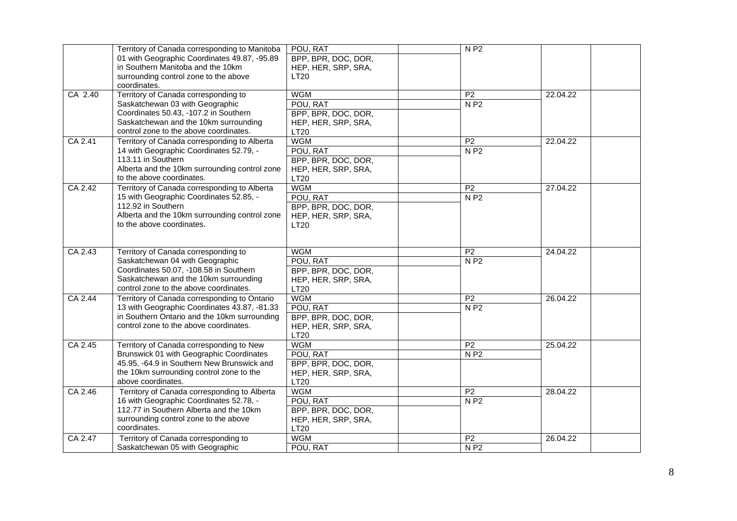|         | Territory of Canada corresponding to Manitoba | POU, RAT            | N P2            |          |  |
|---------|-----------------------------------------------|---------------------|-----------------|----------|--|
|         | 01 with Geographic Coordinates 49.87, -95.89  | BPP, BPR, DOC, DOR, |                 |          |  |
|         | in Southern Manitoba and the 10km             | HEP, HER, SRP, SRA, |                 |          |  |
|         | surrounding control zone to the above         | <b>LT20</b>         |                 |          |  |
|         | coordinates.                                  |                     |                 |          |  |
| CA 2.40 | Territory of Canada corresponding to          | <b>WGM</b>          | $\overline{P2}$ | 22.04.22 |  |
|         | Saskatchewan 03 with Geographic               | POU, RAT            | N P2            |          |  |
|         | Coordinates 50.43, -107.2 in Southern         | BPP, BPR, DOC, DOR, |                 |          |  |
|         | Saskatchewan and the 10km surrounding         | HEP, HER, SRP, SRA, |                 |          |  |
|         | control zone to the above coordinates.        | <b>LT20</b>         |                 |          |  |
| CA 2.41 | Territory of Canada corresponding to Alberta  | <b>WGM</b>          | P <sub>2</sub>  | 22.04.22 |  |
|         | 14 with Geographic Coordinates 52.79, -       | POU, RAT            | N P2            |          |  |
|         | 113.11 in Southern                            | BPP, BPR, DOC, DOR, |                 |          |  |
|         | Alberta and the 10km surrounding control zone | HEP, HER, SRP, SRA, |                 |          |  |
|         | to the above coordinates.                     | <b>LT20</b>         |                 |          |  |
|         |                                               |                     |                 |          |  |
| CA 2.42 | Territory of Canada corresponding to Alberta  | <b>WGM</b>          | $\overline{P2}$ | 27.04.22 |  |
|         | 15 with Geographic Coordinates 52.85, -       | POU, RAT            | N P2            |          |  |
|         | 112.92 in Southern                            | BPP, BPR, DOC, DOR, |                 |          |  |
|         | Alberta and the 10km surrounding control zone | HEP, HER, SRP, SRA, |                 |          |  |
|         | to the above coordinates.                     | LT20                |                 |          |  |
|         |                                               |                     |                 |          |  |
|         |                                               |                     |                 |          |  |
| CA 2.43 | Territory of Canada corresponding to          | <b>WGM</b>          | P <sub>2</sub>  | 24.04.22 |  |
|         | Saskatchewan 04 with Geographic               | POU, RAT            | N P2            |          |  |
|         | Coordinates 50.07, -108.58 in Southern        | BPP, BPR, DOC, DOR, |                 |          |  |
|         | Saskatchewan and the 10km surrounding         | HEP, HER, SRP, SRA, |                 |          |  |
|         | control zone to the above coordinates.        | LT20                |                 |          |  |
| CA 2.44 | Territory of Canada corresponding to Ontario  | <b>WGM</b>          | P <sub>2</sub>  | 26.04.22 |  |
|         | 13 with Geographic Coordinates 43.87, -81.33  | POU, RAT            | N P2            |          |  |
|         | in Southern Ontario and the 10km surrounding  | BPP, BPR, DOC, DOR, |                 |          |  |
|         | control zone to the above coordinates.        | HEP, HER, SRP, SRA, |                 |          |  |
|         |                                               | <b>LT20</b>         |                 |          |  |
| CA 2.45 | Territory of Canada corresponding to New      | <b>WGM</b>          | $\overline{P2}$ | 25.04.22 |  |
|         | Brunswick 01 with Geographic Coordinates      | POU, RAT            | N P2            |          |  |
|         | 45.95, -64.9 in Southern New Brunswick and    | BPP, BPR, DOC, DOR, |                 |          |  |
|         | the 10km surrounding control zone to the      |                     |                 |          |  |
|         | above coordinates.                            | HEP, HER, SRP, SRA, |                 |          |  |
|         |                                               | <b>LT20</b>         |                 |          |  |
| CA 2.46 | Territory of Canada corresponding to Alberta  | <b>WGM</b>          | $\overline{P2}$ | 28.04.22 |  |
|         | 16 with Geographic Coordinates 52.78, -       | POU, RAT            | N P2            |          |  |
|         | 112.77 in Southern Alberta and the 10km       | BPP, BPR, DOC, DOR, |                 |          |  |
|         | surrounding control zone to the above         | HEP, HER, SRP, SRA, |                 |          |  |
|         | coordinates.                                  | <b>LT20</b>         |                 |          |  |
| CA 2.47 | Territory of Canada corresponding to          | <b>WGM</b>          | P <sub>2</sub>  | 26.04.22 |  |
|         | Saskatchewan 05 with Geographic               | POU, RAT            | N P2            |          |  |
|         |                                               |                     |                 |          |  |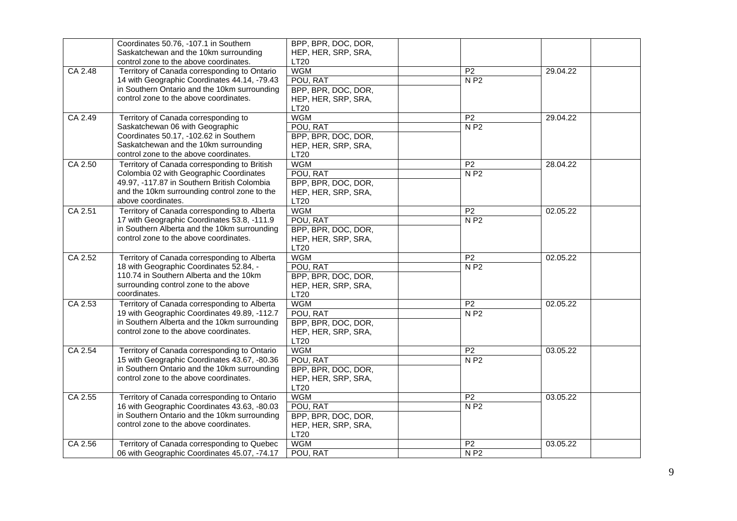|         | Coordinates 50.76, -107.1 in Southern        | BPP, BPR, DOC, DOR, |                    |          |
|---------|----------------------------------------------|---------------------|--------------------|----------|
|         | Saskatchewan and the 10km surrounding        | HEP, HER, SRP, SRA, |                    |          |
|         | control zone to the above coordinates.       | LT20                |                    |          |
| CA 2.48 | Territory of Canada corresponding to Ontario | <b>WGM</b>          | $\overline{P2}$    | 29.04.22 |
|         | 14 with Geographic Coordinates 44.14, -79.43 | POU, RAT            | N P2               |          |
|         | in Southern Ontario and the 10km surrounding | BPP, BPR, DOC, DOR, |                    |          |
|         | control zone to the above coordinates.       | HEP, HER, SRP, SRA, |                    |          |
|         |                                              | <b>LT20</b>         |                    |          |
| CA 2.49 | Territory of Canada corresponding to         | <b>WGM</b>          | P <sub>2</sub>     | 29.04.22 |
|         | Saskatchewan 06 with Geographic              | POU, RAT            | N P2               |          |
|         | Coordinates 50.17, -102.62 in Southern       | BPP, BPR, DOC, DOR, |                    |          |
|         | Saskatchewan and the 10km surrounding        | HEP, HER, SRP, SRA, |                    |          |
|         | control zone to the above coordinates.       | LT20                |                    |          |
| CA 2.50 | Territory of Canada corresponding to British | <b>WGM</b>          | $\overline{P2}$    | 28.04.22 |
|         | Colombia 02 with Geographic Coordinates      | POU, RAT            | N P2               |          |
|         | 49.97, -117.87 in Southern British Colombia  | BPP, BPR, DOC, DOR, |                    |          |
|         | and the 10km surrounding control zone to the | HEP, HER, SRP, SRA, |                    |          |
|         | above coordinates.                           | LT20                |                    |          |
| CA 2.51 | Territory of Canada corresponding to Alberta | <b>WGM</b>          | $\overline{P2}$    | 02.05.22 |
|         | 17 with Geographic Coordinates 53.8, -111.9  | POU, RAT            | N P2               |          |
|         | in Southern Alberta and the 10km surrounding | BPP, BPR, DOC, DOR, |                    |          |
|         | control zone to the above coordinates.       | HEP, HER, SRP, SRA, |                    |          |
|         |                                              | LT20                |                    |          |
| CA 2.52 | Territory of Canada corresponding to Alberta | <b>WGM</b>          | P <sub>2</sub>     | 02.05.22 |
|         | 18 with Geographic Coordinates 52.84, -      | POU, RAT            | N P2               |          |
|         | 110.74 in Southern Alberta and the 10km      | BPP, BPR, DOC, DOR, |                    |          |
|         | surrounding control zone to the above        | HEP, HER, SRP, SRA, |                    |          |
|         | coordinates.                                 | LT20                |                    |          |
| CA 2.53 | Territory of Canada corresponding to Alberta | <b>WGM</b>          | P <sub>2</sub>     | 02.05.22 |
|         | 19 with Geographic Coordinates 49.89, -112.7 | POU, RAT            | $N$ P <sub>2</sub> |          |
|         | in Southern Alberta and the 10km surrounding | BPP, BPR, DOC, DOR, |                    |          |
|         | control zone to the above coordinates.       | HEP, HER, SRP, SRA, |                    |          |
|         |                                              | LT20                |                    |          |
| CA 2.54 | Territory of Canada corresponding to Ontario | <b>WGM</b>          | P <sub>2</sub>     | 03.05.22 |
|         | 15 with Geographic Coordinates 43.67, -80.36 | POU, RAT            | $N$ P <sub>2</sub> |          |
|         | in Southern Ontario and the 10km surrounding | BPP, BPR, DOC, DOR, |                    |          |
|         | control zone to the above coordinates.       | HEP, HER, SRP, SRA, |                    |          |
|         |                                              | LT20                |                    |          |
| CA 2.55 | Territory of Canada corresponding to Ontario | <b>WGM</b>          | P <sub>2</sub>     | 03.05.22 |
|         | 16 with Geographic Coordinates 43.63, -80.03 | POU, RAT            | N P2               |          |
|         | in Southern Ontario and the 10km surrounding | BPP, BPR, DOC, DOR, |                    |          |
|         | control zone to the above coordinates.       | HEP, HER, SRP, SRA, |                    |          |
|         |                                              | LT20                |                    |          |
| CA 2.56 | Territory of Canada corresponding to Quebec  | <b>WGM</b>          | P <sub>2</sub>     | 03.05.22 |
|         | 06 with Geographic Coordinates 45.07, -74.17 | POU, RAT            | N P2               |          |